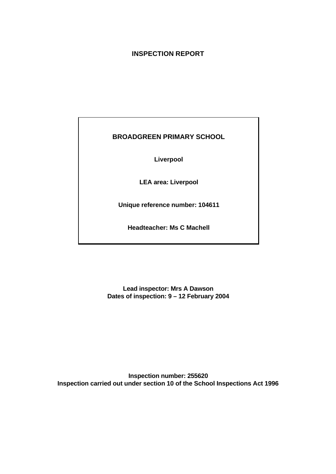# **INSPECTION REPORT**

# **BROADGREEN PRIMARY SCHOOL**

**Liverpool**

**LEA area: Liverpool**

**Unique reference number: 104611**

**Headteacher: Ms C Machell**

**Lead inspector: Mrs A Dawson Dates of inspection: 9 – 12 February 2004**

**Inspection number: 255620 Inspection carried out under section 10 of the School Inspections Act 1996**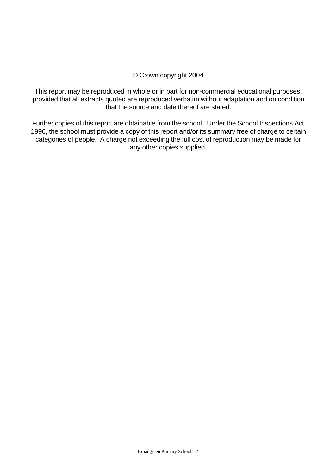# © Crown copyright 2004

This report may be reproduced in whole or in part for non-commercial educational purposes, provided that all extracts quoted are reproduced verbatim without adaptation and on condition that the source and date thereof are stated.

Further copies of this report are obtainable from the school. Under the School Inspections Act 1996, the school must provide a copy of this report and/or its summary free of charge to certain categories of people. A charge not exceeding the full cost of reproduction may be made for any other copies supplied.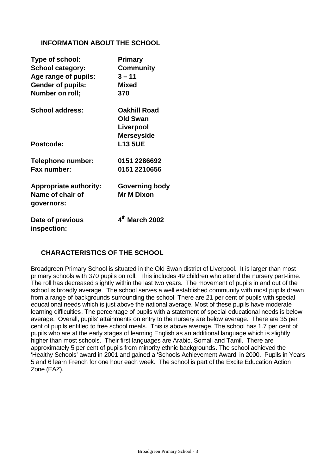# **INFORMATION ABOUT THE SCHOOL**

| Type of school:               | <b>Primary</b>             |
|-------------------------------|----------------------------|
| <b>School category:</b>       | <b>Community</b>           |
| Age range of pupils:          | $3 - 11$                   |
| <b>Gender of pupils:</b>      | <b>Mixed</b>               |
| Number on roll;               | 370                        |
| <b>School address:</b>        | <b>Oakhill Road</b>        |
|                               | <b>Old Swan</b>            |
|                               | Liverpool                  |
|                               | <b>Merseyside</b>          |
| Postcode:                     | <b>L13 5UE</b>             |
| <b>Telephone number:</b>      | 0151 2286692               |
| Fax number:                   | 0151 2210656               |
| <b>Appropriate authority:</b> | <b>Governing body</b>      |
| Name of chair of              | <b>Mr M Dixon</b>          |
| governors:                    |                            |
| Date of previous              | 4 <sup>th</sup> March 2002 |
| inspection:                   |                            |

# **CHARACTERISTICS OF THE SCHOOL**

Broadgreen Primary School is situated in the Old Swan district of Liverpool. It is larger than most primary schools with 370 pupils on roll. This includes 49 children who attend the nursery part-time. The roll has decreased slightly within the last two years. The movement of pupils in and out of the school is broadly average. The school serves a well established community with most pupils drawn from a range of backgrounds surrounding the school. There are 21 per cent of pupils with special educational needs which is just above the national average. Most of these pupils have moderate learning difficulties. The percentage of pupils with a statement of special educational needs is below average. Overall, pupils' attainments on entry to the nursery are below average. There are 35 per cent of pupils entitled to free school meals. This is above average. The school has 1.7 per cent of pupils who are at the early stages of learning English as an additional language which is slightly higher than most schools. Their first languages are Arabic, Somali and Tamil. There are approximately 5 per cent of pupils from minority ethnic backgrounds. The school achieved the 'Healthy Schools' award in 2001 and gained a 'Schools Achievement Award' in 2000. Pupils in Years 5 and 6 learn French for one hour each week. The school is part of the Excite Education Action Zone (EAZ).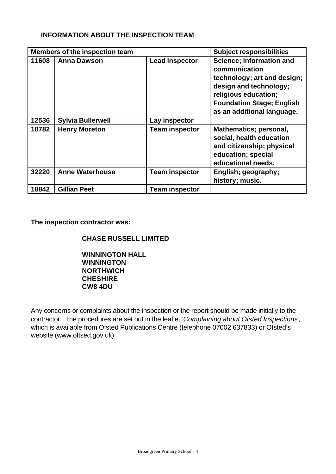# **INFORMATION ABOUT THE INSPECTION TEAM**

| Members of the inspection team |                          |                       | <b>Subject responsibilities</b>                                                                                                                                                              |
|--------------------------------|--------------------------|-----------------------|----------------------------------------------------------------------------------------------------------------------------------------------------------------------------------------------|
| 11608                          | <b>Anna Dawson</b>       | <b>Lead inspector</b> | Science; information and<br>communication<br>technology; art and design;<br>design and technology;<br>religious education;<br><b>Foundation Stage; English</b><br>as an additional language. |
| 12536                          | <b>Sylvia Bullerwell</b> | Lay inspector         |                                                                                                                                                                                              |
| 10782                          | <b>Henry Moreton</b>     | <b>Team inspector</b> | Mathematics; personal,<br>social, health education<br>and citizenship; physical<br>education; special<br>educational needs.                                                                  |
| 32220                          | <b>Anne Waterhouse</b>   | <b>Team inspector</b> | English; geography;<br>history; music.                                                                                                                                                       |
| 18842                          | <b>Gillian Peet</b>      | <b>Team inspector</b> |                                                                                                                                                                                              |

**The inspection contractor was:**

**CHASE RUSSELL LIMITED**

**WINNINGTON HALL WINNINGTON NORTHWICH CHESHIRE CW8 4DU**

Any concerns or complaints about the inspection or the report should be made initially to the contractor. The procedures are set out in the leaflet *'Complaining about Ofsted Inspections'*, which is available from Ofsted Publications Centre (telephone 07002 637833) or Ofsted's website (www.oftsed.gov.uk).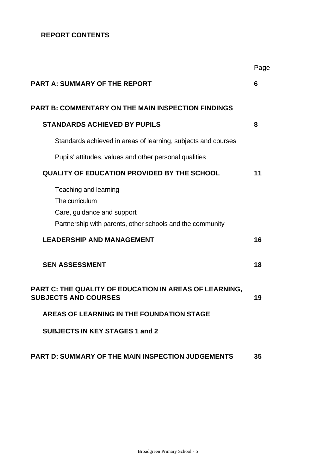# **REPORT CONTENTS**

|                                                                                                                                    | Page |
|------------------------------------------------------------------------------------------------------------------------------------|------|
| <b>PART A: SUMMARY OF THE REPORT</b>                                                                                               | 6    |
| <b>PART B: COMMENTARY ON THE MAIN INSPECTION FINDINGS</b>                                                                          |      |
| <b>STANDARDS ACHIEVED BY PUPILS</b>                                                                                                | 8    |
| Standards achieved in areas of learning, subjects and courses                                                                      |      |
| Pupils' attitudes, values and other personal qualities                                                                             |      |
| <b>QUALITY OF EDUCATION PROVIDED BY THE SCHOOL</b>                                                                                 | 11   |
| Teaching and learning<br>The curriculum<br>Care, guidance and support<br>Partnership with parents, other schools and the community |      |
| <b>LEADERSHIP AND MANAGEMENT</b>                                                                                                   | 16   |
| <b>SEN ASSESSMENT</b>                                                                                                              | 18   |
| PART C: THE QUALITY OF EDUCATION IN AREAS OF LEARNING,<br><b>SUBJECTS AND COURSES</b>                                              | 19   |
| AREAS OF LEARNING IN THE FOUNDATION STAGE                                                                                          |      |
| <b>SUBJECTS IN KEY STAGES 1 and 2</b>                                                                                              |      |
| <b>PART D: SUMMARY OF THE MAIN INSPECTION JUDGEMENTS</b>                                                                           | 35   |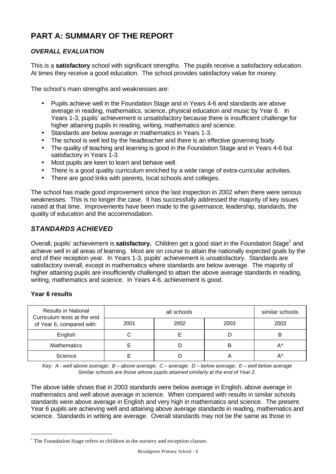# **PART A: SUMMARY OF THE REPORT**

# *OVERALL EVALUATION*

This is a **satisfactory** school with significant strengths. The pupils receive a satisfactory education. At times they receive a good education. The school provides satisfactory value for money.

The school's main strengths and weaknesses are:

- Pupils achieve well in the Foundation Stage and in Years 4-6 and standards are above average in reading, mathematics, science, physical education and music by Year 6. In Years 1-3, pupils' achievement is unsatisfactory because there is insufficient challenge for higher attaining pupils in reading, writing, mathematics and science.
- Standards are below average in mathematics in Years 1-3.
- The school is well led by the headteacher and there is an effective governing body.
- The quality of teaching and learning is good in the Foundation Stage and in Years 4-6 but satisfactory in Years 1-3.
- Most pupils are keen to learn and behave well.
- There is a good quality curriculum enriched by a wide range of extra-curricular activities.
- There are good links with parents, local schools and colleges.

The school has made good improvement since the last inspection in 2002 when there were serious weaknesses. This is no longer the case. It has successfully addressed the majority of key issues raised at that time. Improvements have been made to the governance, leadership, standards, the quality of education and the accommodation.

# *STANDARDS ACHIEVED*

Overall, pupils' achievement is **satisfactory.** Children get a good start in the Foundation Stage<sup>1</sup> and achieve well in all areas of learning. Most are on course to attain the nationally expected goals by the end of their reception year. In Years 1-3, pupils' achievement is unsatisfactory. Standards are satisfactory overall, except in mathematics where standards are below average. The majority of higher attaining pupils are insufficiently challenged to attain the above average standards in reading, writing, mathematics and science. In Years 4-6, achievement is good.

## **Year 6 results**

l

| <b>Results in National</b><br>Curriculum tests at the end |      | similar schools |      |       |
|-----------------------------------------------------------|------|-----------------|------|-------|
| of Year 6, compared with:                                 | 2001 | 2002            | 2003 | 2003  |
| English                                                   |      |                 |      |       |
| <b>Mathematics</b>                                        |      |                 | B    | $A^*$ |
| Science                                                   |      |                 |      | А*    |

*Key: A - well above average; B – above average; C – average; D – below average; E – well below average Similar schools are those whose pupils attained similarly at the end of Year 2.*

The above table shows that in 2003 standards were below average in English, above average in mathematics and well above average in science. When compared with results in similar schools standards were above average in English and very high in mathematics and science. The present Year 6 pupils are achieving well and attaining above average standards in reading, mathematics and science. Standards in writing are average. Overall standards may not be the same as those in

 $1$  The Foundation Stage refers to children in the nursery and reception classes.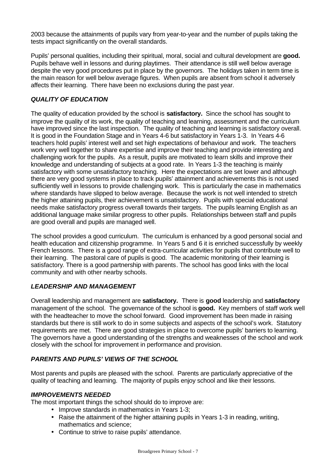2003 because the attainments of pupils vary from year-to-year and the number of pupils taking the tests impact significantly on the overall standards.

Pupils' personal qualities, including their spiritual, moral, social and cultural development are **good.** Pupils behave well in lessons and during playtimes. Their attendance is still well below average despite the very good procedures put in place by the governors. The holidays taken in term time is the main reason for well below average figures. When pupils are absent from school it adversely affects their learning. There have been no exclusions during the past year.

### *QUALITY OF EDUCATION*

The quality of education provided by the school is **satisfactory.** Since the school has sought to improve the quality of its work, the quality of teaching and learning, assessment and the curriculum have improved since the last inspection. The quality of teaching and learning is satisfactory overall. It is good in the Foundation Stage and in Years 4-6 but satisfactory in Years 1-3. In Years 4-6 teachers hold pupils' interest well and set high expectations of behaviour and work. The teachers work very well together to share expertise and improve their teaching and provide interesting and challenging work for the pupils. As a result, pupils are motivated to learn skills and improve their knowledge and understanding of subjects at a good rate. In Years 1-3 the teaching is mainly satisfactory with some unsatisfactory teaching. Here the expectations are set lower and although there are very good systems in place to track pupils' attainment and achievements this is not used sufficiently well in lessons to provide challenging work. This is particularly the case in mathematics where standards have slipped to below average. Because the work is not well intended to stretch the higher attaining pupils, their achievement is unsatisfactory. Pupils with special educational needs make satisfactory progress overall towards their targets. The pupils learning English as an additional language make similar progress to other pupils. Relationships between staff and pupils are good overall and pupils are managed well.

The school provides a good curriculum. The curriculum is enhanced by a good personal social and health education and citizenship programme. In Years 5 and 6 it is enriched successfully by weekly French lessons. There is a good range of extra-curricular activities for pupils that contribute well to their learning. The pastoral care of pupils is good. The academic monitoring of their learning is satisfactory. There is a good partnership with parents. The school has good links with the local community and with other nearby schools.

### *LEADERSHIP AND MANAGEMENT*

Overall leadership and management are **satisfactory.** There is **good** leadership and **satisfactory** management of the school.The governance of the school is **good.** Key members of staff work well with the headteacher to move the school forward.Good improvement has been made in raising standards but there is still work to do in some subjects and aspects of the school's work.Statutory requirements are met. There are good strategies in place to overcome pupils' barriers to learning. The governors have a good understanding of the strengths and weaknesses of the school and work closely with the school for improvement in performance and provision.

### *PARENTS AND PUPILS' VIEWS OF THE SCHOOL*

Most parents and pupils are pleased with the school. Parents are particularly appreciative of the quality of teaching and learning. The majority of pupils enjoy school and like their lessons.

### *IMPROVEMENTS NEEDED*

The most important things the school should do to improve are:

- Improve standards in mathematics in Years 1-3;
- Raise the attainment of the higher attaining pupils in Years 1-3 in reading, writing, mathematics and science;
- Continue to strive to raise pupils' attendance.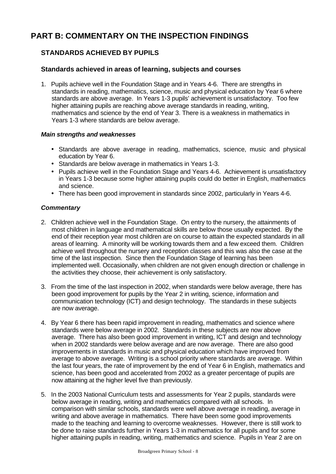# **PART B: COMMENTARY ON THE INSPECTION FINDINGS**

# **STANDARDS ACHIEVED BY PUPILS**

### **Standards achieved in areas of learning, subjects and courses**

1. Pupils achieve well in the Foundation Stage and in Years 4-6. There are strengths in standards in reading, mathematics, science, music and physical education by Year 6 where standards are above average. In Years 1-3 pupils' achievement is unsatisfactory. Too few higher attaining pupils are reaching above average standards in reading, writing, mathematics and science by the end of Year 3. There is a weakness in mathematics in Years 1-3 where standards are below average.

### *Main strengths and weaknesses*

- Standards are above average in reading, mathematics, science, music and physical education by Year 6.
- Standards are below average in mathematics in Years 1-3.
- Pupils achieve well in the Foundation Stage and Years 4-6. Achievement is unsatisfactory in Years 1-3 because some higher attaining pupils could do better in English, mathematics and science.
- There has been good improvement in standards since 2002, particularly in Years 4-6.

- 2. Children achieve well in the Foundation Stage. On entry to the nursery, the attainments of most children in language and mathematical skills are below those usually expected. By the end of their reception year most children are on course to attain the expected standards in all areas of learning. A minority will be working towards them and a few exceed them. Children achieve well throughout the nursery and reception classes and this was also the case at the time of the last inspection. Since then the Foundation Stage of learning has been implemented well. Occasionally, when children are not given enough direction or challenge in the activities they choose, their achievement is only satisfactory.
- 3. From the time of the last inspection in 2002, when standards were below average, there has been good improvement for pupils by the Year 2 in writing, science, information and communication technology (ICT) and design technology. The standards in these subjects are now average.
- 4. By Year 6 there has been rapid improvement in reading, mathematics and science where standards were below average in 2002. Standards in these subjects are now above average. There has also been good improvement in writing, ICT and design and technology when in 2002 standards were below average and are now average. There are also good improvements in standards in music and physical education which have improved from average to above average. Writing is a school priority where standards are average. Within the last four years, the rate of improvement by the end of Year 6 in English, mathematics and science, has been good and accelerated from 2002 as a greater percentage of pupils are now attaining at the higher level five than previously.
- 5. In the 2003 National Curriculum tests and assessments for Year 2 pupils, standards were below average in reading, writing and mathematics compared with all schools. In comparison with similar schools, standards were well above average in reading, average in writing and above average in mathematics. There have been some good improvements made to the teaching and learning to overcome weaknesses. However, there is still work to be done to raise standards further in Years 1-3 in mathematics for all pupils and for some higher attaining pupils in reading, writing, mathematics and science. Pupils in Year 2 are on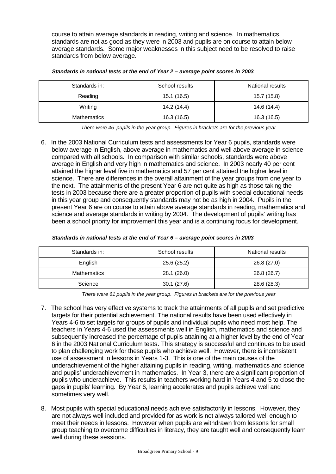course to attain average standards in reading, writing and science. In mathematics, standards are not as good as they were in 2003 and pupils are on course to attain below average standards. Some major weaknesses in this subject need to be resolved to raise standards from below average.

| Standards in:      | School results | National results |
|--------------------|----------------|------------------|
| Reading            | 15.1(16.5)     | 15.7 (15.8)      |
| Writing            | 14.2 (14.4)    | 14.6 (14.4)      |
| <b>Mathematics</b> | 16.3(16.5)     | 16.3 (16.5)      |

|  |  |  | Standards in national tests at the end of Year 2 - average point scores in 2003 |
|--|--|--|---------------------------------------------------------------------------------|
|--|--|--|---------------------------------------------------------------------------------|

*There were 45 pupils in the year group. Figures in brackets are for the previous year*

6. In the 2003 National Curriculum tests and assessments for Year 6 pupils, standards were below average in English, above average in mathematics and well above average in science compared with all schools. In comparison with similar schools, standards were above average in English and very high in mathematics and science. In 2003 nearly 40 per cent attained the higher level five in mathematics and 57 per cent attained the higher level in science. There are differences in the overall attainment of the year groups from one year to the next. The attainments of the present Year 6 are not quite as high as those taking the tests in 2003 because there are a greater proportion of pupils with special educational needs in this year group and consequently standards may not be as high in 2004. Pupils in the present Year 6 are on course to attain above average standards in reading, mathematics and science and average standards in writing by 2004. The development of pupils' writing has been a school priority for improvement this year and is a continuing focus for development.

| Standards in:      | School results | National results |
|--------------------|----------------|------------------|
| English            | 25.6(25.2)     | 26.8 (27.0)      |
| <b>Mathematics</b> | 28.1(26.0)     | 26.8 (26.7)      |
| Science            | 30.1(27.6)     | 28.6 (28.3)      |

*There were 61 pupils in the year group. Figures in brackets are for the previous year*

- 7. The school has very effective systems to track the attainments of all pupils and set predictive targets for their potential achievement. The national results have been used effectively in Years 4-6 to set targets for groups of pupils and individual pupils who need most help. The teachers in Years 4-6 used the assessments well in English, mathematics and science and subsequently increased the percentage of pupils attaining at a higher level by the end of Year 6 in the 2003 National Curriculum tests. This strategy is successful and continues to be used to plan challenging work for these pupils who achieve well. However, there is inconsistent use of assessment in lessons in Years 1-3. This is one of the main causes of the underachievement of the higher attaining pupils in reading, writing, mathematics and science and pupils' underachievement in mathematics. In Year 3, there are a significant proportion of pupils who underachieve. This results in teachers working hard in Years 4 and 5 to close the gaps in pupils' learning. By Year 6, learning accelerates and pupils achieve well and sometimes very well.
- 8. Most pupils with special educational needs achieve satisfactorily in lessons. However, they are not always well included and provided for as work is not always tailored well enough to meet their needs in lessons. However when pupils are withdrawn from lessons for small group teaching to overcome difficulties in literacy, they are taught well and consequently learn well during these sessions.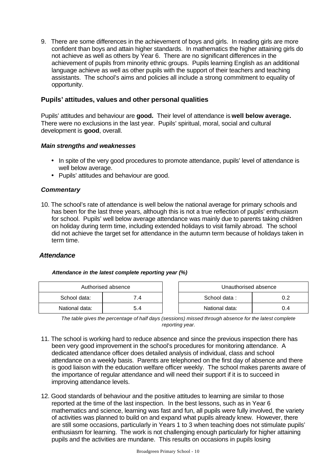9. There are some differences in the achievement of boys and girls. In reading girls are more confident than boys and attain higher standards. In mathematics the higher attaining girls do not achieve as well as others by Year 6. There are no significant differences in the achievement of pupils from minority ethnic groups. Pupils learning English as an additional language achieve as well as other pupils with the support of their teachers and teaching assistants. The school's aims and policies all include a strong commitment to equality of opportunity.

### **Pupils' attitudes, values and other personal qualities**

Pupils' attitudes and behaviour are **good.** Their level of attendance is **well below average.** There were no exclusions in the last year. Pupils' spiritual, moral, social and cultural development is **good**, overall.

### *Main strengths and weaknesses*

- In spite of the very good procedures to promote attendance, pupils' level of attendance is well below average.
- Pupils' attitudes and behaviour are good.

### *Commentary*

10. The school's rate of attendance is well below the national average for primary schools and has been for the last three years, although this is not a true reflection of pupils' enthusiasm for school. Pupils' well below average attendance was mainly due to parents taking children on holiday during term time, including extended holidays to visit family abroad. The school did not achieve the target set for attendance in the autumn term because of holidays taken in term time.

## *Attendance*

#### *Attendance in the latest complete reporting year (%)*

| Authorised absence |              | Unauthorised absence |     |
|--------------------|--------------|----------------------|-----|
| School data:       | $\mathbf{A}$ | School data:         |     |
| National data:     | 5.4          | National data:       | 0.4 |

*The table gives the percentage of half days (sessions) missed through absence for the latest complete reporting year.*

- 11. The school is working hard to reduce absence and since the previous inspection there has been very good improvement in the school's procedures for monitoring attendance. A dedicated attendance officer does detailed analysis of individual, class and school attendance on a weekly basis. Parents are telephoned on the first day of absence and there is good liaison with the education welfare officer weekly. The school makes parents aware of the importance of regular attendance and will need their support if it is to succeed in improving attendance levels.
- 12. Good standards of behaviour and the positive attitudes to learning are similar to those reported at the time of the last inspection. In the best lessons, such as in Year 6 mathematics and science, learning was fast and fun, all pupils were fully involved, the variety of activities was planned to build on and expand what pupils already knew. However, there are still some occasions, particularly in Years 1 to 3 when teaching does not stimulate pupils' enthusiasm for learning. The work is not challenging enough particularly for higher attaining pupils and the activities are mundane. This results on occasions in pupils losing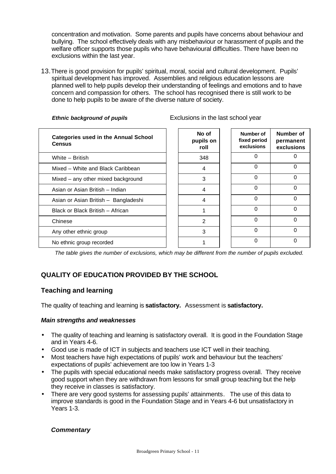concentration and motivation. Some parents and pupils have concerns about behaviour and bullying. The school effectively deals with any misbehaviour or harassment of pupils and the welfare officer supports those pupils who have behavioural difficulties. There have been no exclusions within the last year.

13.There is good provision for pupils' spiritual, moral, social and cultural development. Pupils' spiritual development has improved. Assemblies and religious education lessons are planned well to help pupils develop their understanding of feelings and emotions and to have concern and compassion for others. The school has recognised there is still work to be done to help pupils to be aware of the diverse nature of society.

*Ethnic background of pupils* Exclusions in the last school year

| <b>Categories used in the Annual School</b><br><b>Census</b> | No of<br>pupils on<br>roll | Number of<br>fixed period<br>exclusions | Number of<br>permanent<br>exclusions |
|--------------------------------------------------------------|----------------------------|-----------------------------------------|--------------------------------------|
| White - British                                              | 348                        | 0                                       |                                      |
| Mixed - White and Black Caribbean                            | 4                          | 0                                       | 0                                    |
| Mixed - any other mixed background                           | 3                          | 0                                       | ∩                                    |
| Asian or Asian British - Indian                              | 4                          | 0                                       | 0                                    |
| Asian or Asian British - Bangladeshi                         | 4                          | 0                                       | $\Omega$                             |
| Black or Black British - African                             |                            | 0                                       | ∩                                    |
| Chinese                                                      | 2                          | 0                                       | 0                                    |
| Any other ethnic group                                       | 3                          | 0                                       | ∩                                    |
| No ethnic group recorded                                     |                            | 0                                       |                                      |

*The table gives the number of exclusions, which may be different from the number of pupils excluded.*

# **QUALITY OF EDUCATION PROVIDED BY THE SCHOOL**

## **Teaching and learning**

The quality of teaching and learning is **satisfactory.** Assessment is **satisfactory.**

### *Main strengths and weaknesses*

- The quality of teaching and learning is satisfactory overall. It is good in the Foundation Stage and in Years 4-6.
- Good use is made of ICT in subjects and teachers use ICT well in their teaching.
- Most teachers have high expectations of pupils' work and behaviour but the teachers' expectations of pupils' achievement are too low in Years 1-3
- The pupils with special educational needs make satisfactory progress overall. They receive good support when they are withdrawn from lessons for small group teaching but the help they receive in classes is satisfactory.
- There are very good systems for assessing pupils' attainments. The use of this data to improve standards is good in the Foundation Stage and in Years 4-6 but unsatisfactory in Years 1-3.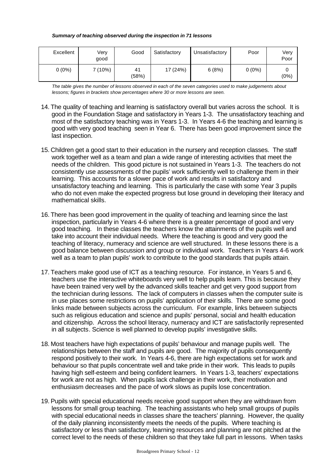#### *Summary of teaching observed during the inspection in 71 lessons*

| Excellent | Very<br>qood | Good        | Satisfactory | Unsatisfactory | Poor     | Very<br>Poor |
|-----------|--------------|-------------|--------------|----------------|----------|--------------|
| $0(0\%)$  | 7 (10%)      | 41<br>(58%) | 17 (24%)     | 6(8%)          | $0(0\%)$ | (0%)         |

*The table gives the number of lessons observed in each of the seven categories used to make judgements about lessons; figures in brackets show percentages where 30 or more lessons are seen.*

- 14. The quality of teaching and learning is satisfactory overall but varies across the school. It is good in the Foundation Stage and satisfactory in Years 1-3. The unsatisfactory teaching and most of the satisfactory teaching was in Years 1-3. In Years 4-6 the teaching and learning is good with very good teaching seen in Year 6. There has been good improvement since the last inspection.
- 15. Children get a good start to their education in the nursery and reception classes. The staff work together well as a team and plan a wide range of interesting activities that meet the needs of the children. This good picture is not sustained in Years 1-3. The teachers do not consistently use assessments of the pupils' work sufficiently well to challenge them in their learning. This accounts for a slower pace of work and results in satisfactory and unsatisfactory teaching and learning. This is particularly the case with some Year 3 pupils who do not even make the expected progress but lose ground in developing their literacy and mathematical skills.
- 16. There has been good improvement in the quality of teaching and learning since the last inspection, particularly in Years 4-6 where there is a greater percentage of good and very good teaching. In these classes the teachers know the attainments of the pupils well and take into account their individual needs. Where the teaching is good and very good the teaching of literacy, numeracy and science are well structured. In these lessons there is a good balance between discussion and group or individual work. Teachers in Years 4-6 work well as a team to plan pupils' work to contribute to the good standards that pupils attain.
- 17. Teachers make good use of ICT as a teaching resource. For instance, in Years 5 and 6, teachers use the interactive whiteboards very well to help pupils learn. This is because they have been trained very well by the advanced skills teacher and get very good support from the technician during lessons. The lack of computers in classes when the computer suite is in use places some restrictions on pupils' application of their skills. There are some good links made between subjects across the curriculum. For example, links between subjects such as religious education and science and pupils' personal, social and health education and citizenship. Across the school literacy, numeracy and ICT are satisfactorily represented in all subjects. Science is well planned to develop pupils' investigative skills.
- 18. Most teachers have high expectations of pupils' behaviour and manage pupils well. The relationships between the staff and pupils are good. The majority of pupils consequently respond positively to their work. In Years 4-6, there are high expectations set for work and behaviour so that pupils concentrate well and take pride in their work. This leads to pupils having high self-esteem and being confident learners. In Years 1-3, teachers' expectations for work are not as high. When pupils lack challenge in their work, their motivation and enthusiasm decreases and the pace of work slows as pupils lose concentration.
- 19. Pupils with special educational needs receive good support when they are withdrawn from lessons for small group teaching. The teaching assistants who help small groups of pupils with special educational needs in classes share the teachers' planning. However, the quality of the daily planning inconsistently meets the needs of the pupils. Where teaching is satisfactory or less than satisfactory, learning resources and planning are not pitched at the correct level to the needs of these children so that they take full part in lessons. When tasks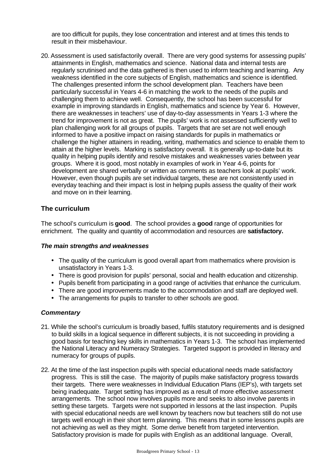are too difficult for pupils, they lose concentration and interest and at times this tends to result in their misbehaviour.

20. Assessment is used satisfactorily overall. There are very good systems for assessing pupils' attainments in English, mathematics and science. National data and internal tests are regularly scrutinised and the data gathered is then used to inform teaching and learning. Any weakness identified in the core subjects of English, mathematics and science is identified. The challenges presented inform the school development plan. Teachers have been particularly successful in Years 4-6 in matching the work to the needs of the pupils and challenging them to achieve well. Consequently, the school has been successful for example in improving standards in English, mathematics and science by Year 6. However, there are weaknesses in teachers' use of day-to-day assessments in Years 1-3 where the trend for improvement is not as great. The pupils' work is not assessed sufficiently well to plan challenging work for all groups of pupils. Targets that are set are not well enough informed to have a positive impact on raising standards for pupils in mathematics or challenge the higher attainers in reading, writing, mathematics and science to enable them to attain at the higher levels. Marking is satisfactory overall. It is generally up-to-date but its quality in helping pupils identify and resolve mistakes and weaknesses varies between year groups. Where it is good, most notably in examples of work in Year 4-6, points for development are shared verbally or written as comments as teachers look at pupils' work. However, even though pupils are set individual targets, these are not consistently used in everyday teaching and their impact is lost in helping pupils assess the quality of their work and move on in their learning.

## **The curriculum**

The school's curriculum is **good**. The school provides a **good** range of opportunities for enrichment. The quality and quantity of accommodation and resources are **satisfactory.**

#### *The main strengths and weaknesses*

- The quality of the curriculum is good overall apart from mathematics where provision is unsatisfactory in Years 1-3.
- There is good provision for pupils' personal, social and health education and citizenship.
- Pupils benefit from participating in a good range of activities that enhance the curriculum.
- There are good improvements made to the accommodation and staff are deployed well.
- The arrangements for pupils to transfer to other schools are good.

- 21. While the school's curriculum is broadly based, fulfils statutory requirements and is designed to build skills in a logical sequence in different subjects, it is not succeeding in providing a good basis for teaching key skills in mathematics in Years 1-3. The school has implemented the National Literacy and Numeracy Strategies. Targeted support is provided in literacy and numeracy for groups of pupils.
- 22. At the time of the last inspection pupils with special educational needs made satisfactory progress. This is still the case. The majority of pupils make satisfactory progress towards their targets. There were weaknesses in Individual Education Plans (IEP's), with targets set being inadequate. Target setting has improved as a result of more effective assessment arrangements. The school now involves pupils more and seeks to also involve parents in setting these targets. Targets were not supported in lessons at the last inspection. Pupils with special educational needs are well known by teachers now but teachers still do not use targets well enough in their short term planning. This means that in some lessons pupils are not achieving as well as they might. Some derive benefit from targeted intervention. Satisfactory provision is made for pupils with English as an additional language. Overall,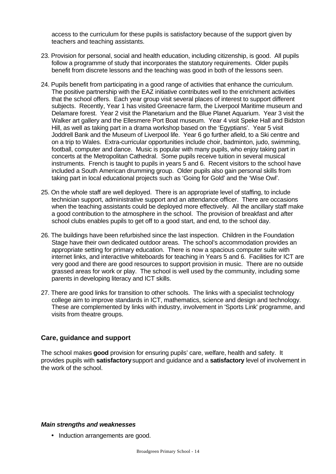access to the curriculum for these pupils is satisfactory because of the support given by teachers and teaching assistants.

- 23. Provision for personal, social and health education, including citizenship, is good. All pupils follow a programme of study that incorporates the statutory requirements. Older pupils benefit from discrete lessons and the teaching was good in both of the lessons seen.
- 24. Pupils benefit from participating in a good range of activities that enhance the curriculum. The positive partnership with the EAZ initiative contributes well to the enrichment activities that the school offers. Each year group visit several places of interest to support different subjects. Recently, Year 1 has visited Greenacre farm, the Liverpool Maritime museum and Delamare forest. Year 2 visit the Planetarium and the Blue Planet Aquarium. Year 3 visit the Walker art gallery and the Ellesmere Port Boat museum. Year 4 visit Speke Hall and Bidston Hill, as well as taking part in a drama workshop based on the 'Egyptians'. Year 5 visit Joddrell Bank and the Museum of Liverpool life. Year 6 go further afield, to a Ski centre and on a trip to Wales. Extra-curricular opportunities include choir, badminton, judo, swimming, football, computer and dance. Music is popular with many pupils, who enjoy taking part in concerts at the Metropolitan Cathedral. Some pupils receive tuition in several musical instruments. French is taught to pupils in years 5 and 6. Recent visitors to the school have included a South American drumming group. Older pupils also gain personal skills from taking part in local educational projects such as 'Going for Gold' and the 'Wise Owl'.
- 25. On the whole staff are well deployed. There is an appropriate level of staffing, to include technician support, administrative support and an attendance officer. There are occasions when the teaching assistants could be deployed more effectively. All the ancillary staff make a good contribution to the atmosphere in the school. The provision of breakfast and after school clubs enables pupils to get off to a good start, and end, to the school day.
- 26. The buildings have been refurbished since the last inspection. Children in the Foundation Stage have their own dedicated outdoor areas. The school's accommodation provides an appropriate setting for primary education. There is now a spacious computer suite with internet links, and interactive whiteboards for teaching in Years 5 and 6. Facilities for ICT are very good and there are good resources to support provision in music. There are no outside grassed areas for work or play. The school is well used by the community, including some parents in developing literacy and ICT skills.
- 27. There are good links for transition to other schools. The links with a specialist technology college aim to improve standards in ICT, mathematics, science and design and technology. These are complemented by links with industry, involvement in 'Sports Link' programme, and visits from theatre groups.

### **Care, guidance and support**

The school makes **good** provision for ensuring pupils' care, welfare, health and safety. It provides pupils with **satisfactory** support and guidance and a **satisfactory** level of involvement in the work of the school.

#### *Main strengths and weaknesses*

• Induction arrangements are good.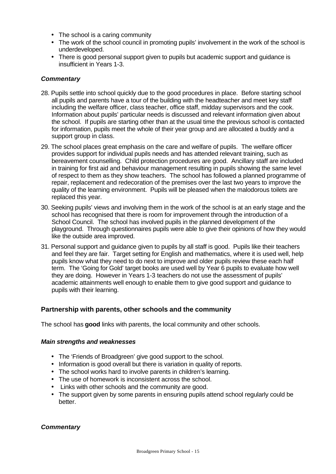- The school is a caring community
- The work of the school council in promoting pupils' involvement in the work of the school is underdeveloped.
- There is good personal support given to pupils but academic support and guidance is insufficient in Years 1-3.

### *Commentary*

- 28. Pupils settle into school quickly due to the good procedures in place. Before starting school all pupils and parents have a tour of the building with the headteacher and meet key staff including the welfare officer, class teacher, office staff, midday supervisors and the cook. Information about pupils' particular needs is discussed and relevant information given about the school. If pupils are starting other than at the usual time the previous school is contacted for information, pupils meet the whole of their year group and are allocated a buddy and a support group in class.
- 29. The school places great emphasis on the care and welfare of pupils. The welfare officer provides support for individual pupils needs and has attended relevant training, such as bereavement counselling. Child protection procedures are good. Ancillary staff are included in training for first aid and behaviour management resulting in pupils showing the same level of respect to them as they show teachers. The school has followed a planned programme of repair, replacement and redecoration of the premises over the last two years to improve the quality of the learning environment. Pupils will be pleased when the malodorous toilets are replaced this year.
- 30. Seeking pupils' views and involving them in the work of the school is at an early stage and the school has recognised that there is room for improvement through the introduction of a School Council. The school has involved pupils in the planned development of the playground. Through questionnaires pupils were able to give their opinions of how they would like the outside area improved.
- 31. Personal support and guidance given to pupils by all staff is good. Pupils like their teachers and feel they are fair. Target setting for English and mathematics, where it is used well, help pupils know what they need to do next to improve and older pupils review these each half term. The 'Going for Gold' target books are used well by Year 6 pupils to evaluate how well they are doing. However in Years 1-3 teachers do not use the assessment of pupils' academic attainments well enough to enable them to give good support and guidance to pupils with their learning.

## **Partnership with parents, other schools and the community**

The school has **good** links with parents, the local community and other schools.

### *Main strengths and weaknesses*

- The 'Friends of Broadgreen' give good support to the school.
- Information is good overall but there is variation in quality of reports.
- The school works hard to involve parents in children's learning.
- The use of homework is inconsistent across the school.
- Links with other schools and the community are good.
- The support given by some parents in ensuring pupils attend school regularly could be better.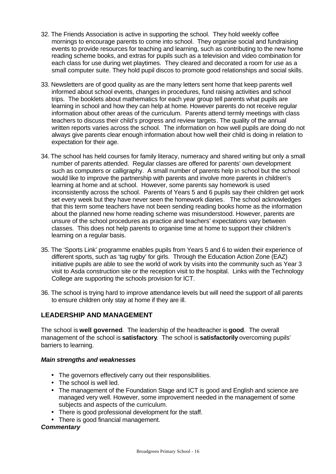- 32. The Friends Association is active in supporting the school. They hold weekly coffee mornings to encourage parents to come into school. They organise social and fundraising events to provide resources for teaching and learning, such as contributing to the new home reading scheme books, and extras for pupils such as a television and video combination for each class for use during wet playtimes. They cleared and decorated a room for use as a small computer suite. They hold pupil discos to promote good relationships and social skills.
- 33. Newsletters are of good quality as are the many letters sent home that keep parents well informed about school events, changes in procedures, fund raising activities and school trips. The booklets about mathematics for each year group tell parents what pupils are learning in school and how they can help at home. However parents do not receive regular information about other areas of the curriculum. Parents attend termly meetings with class teachers to discuss their child's progress and review targets. The quality of the annual written reports varies across the school. The information on how well pupils are doing do not always give parents clear enough information about how well their child is doing in relation to expectation for their age.
- 34. The school has held courses for family literacy, numeracy and shared writing but only a small number of parents attended. Regular classes are offered for parents' own development such as computers or calligraphy. A small number of parents help in school but the school would like to improve the partnership with parents and involve more parents in children's learning at home and at school. However, some parents say homework is used inconsistently across the school. Parents of Years 5 and 6 pupils say their children get work set every week but they have never seen the homework diaries. The school acknowledges that this term some teachers have not been sending reading books home as the information about the planned new home reading scheme was misunderstood. However, parents are unsure of the school procedures as practice and teachers' expectations vary between classes. This does not help parents to organise time at home to support their children's learning on a regular basis.
- 35. The 'Sports Link' programme enables pupils from Years 5 and 6 to widen their experience of different sports, such as 'tag rugby' for girls. Through the Education Action Zone (EAZ) initiative pupils are able to see the world of work by visits into the community such as Year 3 visit to Asda construction site or the reception visit to the hospital. Links with the Technology College are supporting the schools provision for ICT.
- 36. The school is trying hard to improve attendance levels but will need the support of all parents to ensure children only stay at home if they are ill.

# **LEADERSHIP AND MANAGEMENT**

The school is **well governed**. The leadership of the headteacher is **good**. The overall management of the school is **satisfactory**. The school is **satisfactorily** overcoming pupils' barriers to learning.

### *Main strengths and weaknesses*

- The governors effectively carry out their responsibilities.
- The school is well led.
- The management of the Foundation Stage and ICT is good and English and science are managed very well. However, some improvement needed in the management of some subjects and aspects of the curriculum.
- There is good professional development for the staff.
- There is good financial management.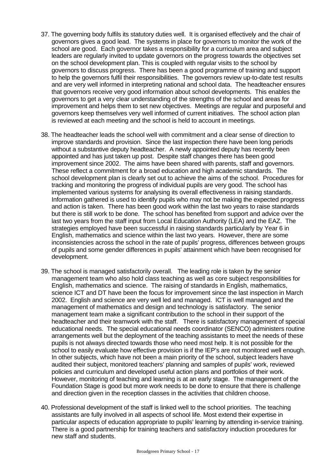- 37. The governing body fulfils its statutory duties well. It is organised effectively and the chair of governors gives a good lead. The systems in place for governors to monitor the work of the school are good. Each governor takes a responsibility for a curriculum area and subject leaders are regularly invited to update governors on the progress towards the objectives set on the school development plan. This is coupled with regular visits to the school by governors to discuss progress. There has been a good programme of training and support to help the governors fulfil their responsibilities. The governors review up-to-date test results and are very well informed in interpreting national and school data. The headteacher ensures that governors receive very good information about school developments. This enables the governors to get a very clear understanding of the strengths of the school and areas for improvement and helps them to set new objectives. Meetings are regular and purposeful and governors keep themselves very well informed of current initiatives. The school action plan is reviewed at each meeting and the school is held to account in meetings.
- 38. The headteacher leads the school well with commitment and a clear sense of direction to improve standards and provision. Since the last inspection there have been long periods without a substantive deputy headteacher. A newly appointed deputy has recently been appointed and has just taken up post. Despite staff changes there has been good improvement since 2002. The aims have been shared with parents, staff and governors. These reflect a commitment for a broad education and high academic standards. The school development plan is clearly set out to achieve the aims of the school. Procedures for tracking and monitoring the progress of individual pupils are very good. The school has implemented various systems for analysing its overall effectiveness in raising standards. Information gathered is used to identify pupils who may not be making the expected progress and action is taken. There has been good work within the last two years to raise standards but there is still work to be done. The school has benefited from support and advice over the last two years from the staff input from Local Education Authority (LEA) and the EAZ. The strategies employed have been successful in raising standards particularly by Year 6 in English, mathematics and science within the last two years. However, there are some inconsistencies across the school in the rate of pupils' progress, differences between groups of pupils and some gender differences in pupils' attainment which have been recognised for development.
- 39. The school is managed satisfactorily overall. The leading role is taken by the senior management team who also hold class teaching as well as core subject responsibilities for English, mathematics and science. The raising of standards in English, mathematics, science ICT and DT have been the focus for improvement since the last inspection in March 2002. English and science are very well led and managed. ICT is well managed and the management of mathematics and design and technology is satisfactory. The senior management team make a significant contribution to the school in their support of the headteacher and their teamwork with the staff. There is satisfactory management of special educational needs. The special educational needs coordinator (SENCO) administers routine arrangements well but the deployment of the teaching assistants to meet the needs of these pupils is not always directed towards those who need most help. It is not possible for the school to easily evaluate how effective provision is if the IEP's are not monitored well enough. In other subjects, which have not been a main priority of the school, subject leaders have audited their subject, monitored teachers' planning and samples of pupils' work, reviewed policies and curriculum and developed useful action plans and portfolios of their work. However, monitoring of teaching and learning is at an early stage. The management of the Foundation Stage is good but more work needs to be done to ensure that there is challenge and direction given in the reception classes in the activities that children choose.
- 40. Professional development of the staff is linked well to the school priorities. The teaching assistants are fully involved in all aspects of school life. Most extend their expertise in particular aspects of education appropriate to pupils' learning by attending in-service training. There is a good partnership for training teachers and satisfactory induction procedures for new staff and students.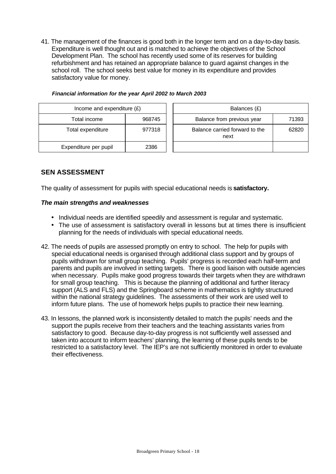41. The management of the finances is good both in the longer term and on a day-to-day basis. Expenditure is well thought out and is matched to achieve the objectives of the School Development Plan. The school has recently used some of its reserves for building refurbishment and has retained an appropriate balance to guard against changes in the school roll. The school seeks best value for money in its expenditure and provides satisfactory value for money.

| Income and expenditure $(E)$ |        | Balances (£)                           |       |
|------------------------------|--------|----------------------------------------|-------|
| Total income                 | 968745 | Balance from previous year             | 71393 |
| Total expenditure            | 977318 | Balance carried forward to the<br>next | 62820 |
| Expenditure per pupil        | 2386   |                                        |       |

#### *Financial information for the year April 2002 to March 2003*

### **SEN ASSESSMENT**

The quality of assessment for pupils with special educational needs is **satisfactory.**

#### *The main strengths and weaknesses*

- Individual needs are identified speedily and assessment is regular and systematic.
- The use of assessment is satisfactory overall in lessons but at times there is insufficient planning for the needs of individuals with special educational needs.

- 42. The needs of pupils are assessed promptly on entry to school. The help for pupils with special educational needs is organised through additional class support and by groups of pupils withdrawn for small group teaching. Pupils' progress is recorded each half-term and parents and pupils are involved in setting targets. There is good liaison with outside agencies when necessary. Pupils make good progress towards their targets when they are withdrawn for small group teaching. This is because the planning of additional and further literacy support (ALS and FLS) and the Springboard scheme in mathematics is tightly structured within the national strategy guidelines. The assessments of their work are used well to inform future plans. The use of homework helps pupils to practice their new learning.
- 43. In lessons, the planned work is inconsistently detailed to match the pupils' needs and the support the pupils receive from their teachers and the teaching assistants varies from satisfactory to good. Because day-to-day progress is not sufficiently well assessed and taken into account to inform teachers' planning, the learning of these pupils tends to be restricted to a satisfactory level. The IEP's are not sufficiently monitored in order to evaluate their effectiveness.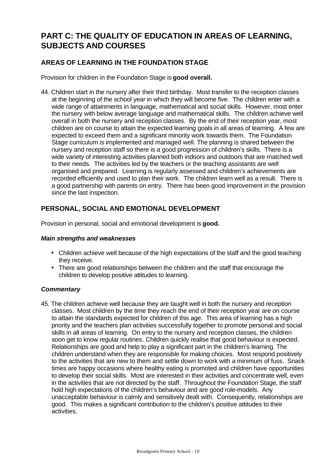# **PART C: THE QUALITY OF EDUCATION IN AREAS OF LEARNING, SUBJECTS AND COURSES**

# **AREAS OF LEARNING IN THE FOUNDATION STAGE**

Provision for children in the Foundation Stage is **good overall.**

44. Children start in the nursery after their third birthday. Most transfer to the reception classes at the beginning of the school year in which they will become five. The children enter with a wide range of attainments in language, mathematical and social skills. However, most enter the nursery with below average language and mathematical skills. The children achieve well overall in both the nursery and reception classes. By the end of their reception year, most children are on course to attain the expected learning goals in all areas of learning. A few are expected to exceed them and a significant minority work towards them. The Foundation Stage curriculum is implemented and managed well. The planning is shared between the nursery and reception staff so there is a good progression of children's skills. There is a wide variety of interesting activities planned both indoors and outdoors that are matched well to their needs. The activities led by the teachers or the teaching assistants are well organised and prepared. Learning is regularly assessed and children's achievements are recorded efficiently and used to plan their work. The children learn well as a result. There is a good partnership with parents on entry. There has been good improvement in the provision since the last inspection.

# **PERSONAL, SOCIAL AND EMOTIONAL DEVELOPMENT**

Provision in personal, social and emotional development is **good.**

### *Main strengths and weaknesses*

- Children achieve well because of the high expectations of the staff and the good teaching they receive.
- There are good relationships between the children and the staff that encourage the children to develop positive attitudes to learning.

### *Commentary*

45. The children achieve well because they are taught well in both the nursery and reception classes. Most children by the time they reach the end of their reception year are on course to attain the standards expected for children of this age. This area of learning has a high priority and the teachers plan activities successfully together to promote personal and social skills in all areas of learning. On entry to the nursery and reception classes, the children soon get to know regular routines. Children quickly realise that good behaviour is expected. Relationships are good and help to play a significant part in the children's learning. The children understand when they are responsible for making choices. Most respond positively to the activities that are new to them and settle down to work with a minimum of fuss. Snack times are happy occasions where healthy eating is promoted and children have opportunities to develop their social skills. Most are interested in their activities and concentrate well, even in the activities that are not directed by the staff. Throughout the Foundation Stage, the staff hold high expectations of the children's behaviour and are good role-models. Any unacceptable behaviour is calmly and sensitively dealt with. Consequently, relationships are good. This makes a significant contribution to the children's positive attitudes to their activities.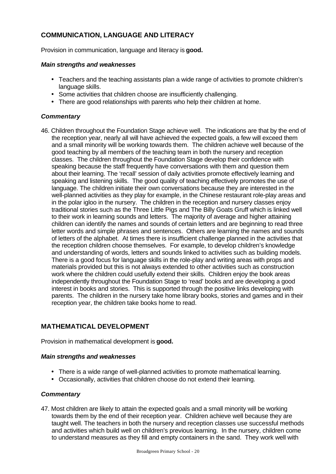# **COMMUNICATION, LANGUAGE AND LITERACY**

Provision in communication, language and literacy is **good.**

### *Main strengths and weaknesses*

- Teachers and the teaching assistants plan a wide range of activities to promote children's language skills.
- Some activities that children choose are insufficiently challenging.
- There are good relationships with parents who help their children at home.

### *Commentary*

46. Children throughout the Foundation Stage achieve well. The indications are that by the end of the reception year, nearly all will have achieved the expected goals, a few will exceed them and a small minority will be working towards them. The children achieve well because of the good teaching by all members of the teaching team in both the nursery and reception classes. The children throughout the Foundation Stage develop their confidence with speaking because the staff frequently have conversations with them and question them about their learning. The 'recall' session of daily activities promote effectively learning and speaking and listening skills. The good quality of teaching effectively promotes the use of language. The children initiate their own conversations because they are interested in the well-planned activities as they play for example, in the Chinese restaurant role-play areas and in the polar igloo in the nursery. The children in the reception and nursery classes enjoy traditional stories such as the Three Little Pigs and The Billy Goats Gruff which is linked well to their work in learning sounds and letters. The majority of average and higher attaining children can identify the names and sounds of certain letters and are beginning to read three letter words and simple phrases and sentences. Others are learning the names and sounds of letters of the alphabet. At times there is insufficient challenge planned in the activities that the reception children choose themselves. For example, to develop children's knowledge and understanding of words, letters and sounds linked to activities such as building models. There is a good focus for language skills in the role-play and writing areas with props and materials provided but this is not always extended to other activities such as construction work where the children could usefully extend their skills. Children enjoy the book areas independently throughout the Foundation Stage to 'read' books and are developing a good interest in books and stories. This is supported through the positive links developing with parents. The children in the nursery take home library books, stories and games and in their reception year, the children take books home to read.

# **MATHEMATICAL DEVELOPMENT**

Provision in mathematical development is **good.**

### *Main strengths and weaknesses*

- There is a wide range of well-planned activities to promote mathematical learning.
- Occasionally, activities that children choose do not extend their learning.

### *Commentary*

47. Most children are likely to attain the expected goals and a small minority will be working towards them by the end of their reception year. Children achieve well because they are taught well. The teachers in both the nursery and reception classes use successful methods and activities which build well on children's previous learning. In the nursery, children come to understand measures as they fill and empty containers in the sand. They work well with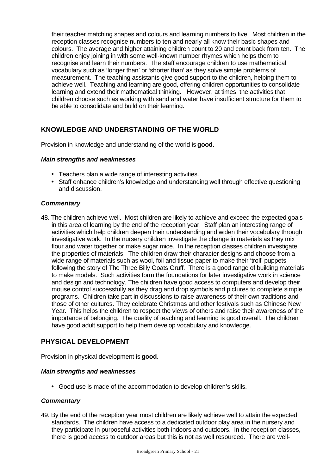their teacher matching shapes and colours and learning numbers to five. Most children in the reception classes recognise numbers to ten and nearly all know their basic shapes and colours. The average and higher attaining children count to 20 and count back from ten. The children enjoy joining in with some well-known number rhymes which helps them to recognise and learn their numbers. The staff encourage children to use mathematical vocabulary such as 'longer than' or 'shorter than' as they solve simple problems of measurement. The teaching assistants give good support to the children, helping them to achieve well. Teaching and learning are good, offering children opportunities to consolidate learning and extend their mathematical thinking. However, at times, the activities that children choose such as working with sand and water have insufficient structure for them to be able to consolidate and build on their learning.

# **KNOWLEDGE AND UNDERSTANDING OF THE WORLD**

Provision in knowledge and understanding of the world is **good.**

### *Main strengths and weaknesses*

- Teachers plan a wide range of interesting activities.
- Staff enhance children's knowledge and understanding well through effective questioning and discussion.

### *Commentary*

48. The children achieve well. Most children are likely to achieve and exceed the expected goals in this area of learning by the end of the reception year. Staff plan an interesting range of activities which help children deepen their understanding and widen their vocabulary through investigative work. In the nursery children investigate the change in materials as they mix flour and water together or make sugar mice. In the reception classes children investigate the properties of materials. The children draw their character designs and choose from a wide range of materials such as wool, foil and tissue paper to make their 'troll' puppets following the story of The Three Billy Goats Gruff. There is a good range of building materials to make models. Such activities form the foundations for later investigative work in science and design and technology. The children have good access to computers and develop their mouse control successfully as they drag and drop symbols and pictures to complete simple programs. Children take part in discussions to raise awareness of their own traditions and those of other cultures. They celebrate Christmas and other festivals such as Chinese New Year. This helps the children to respect the views of others and raise their awareness of the importance of belonging. The quality of teaching and learning is good overall. The children have good adult support to help them develop vocabulary and knowledge.

## **PHYSICAL DEVELOPMENT**

Provision in physical development is **good**.

#### *Main strengths and weaknesses*

• Good use is made of the accommodation to develop children's skills.

### *Commentary*

49. By the end of the reception year most children are likely achieve well to attain the expected standards. The children have access to a dedicated outdoor play area in the nursery and they participate in purposeful activities both indoors and outdoors. In the reception classes, there is good access to outdoor areas but this is not as well resourced. There are well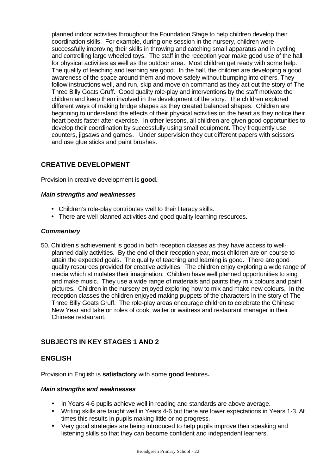planned indoor activities throughout the Foundation Stage to help children develop their coordination skills. For example, during one session in the nursery, children were successfully improving their skills in throwing and catching small apparatus and in cycling and controlling large wheeled toys. The staff in the reception year make good use of the hall for physical activities as well as the outdoor area. Most children get ready with some help. The quality of teaching and learning are good. In the hall, the children are developing a good awareness of the space around them and move safely without bumping into others. They follow instructions well, and run, skip and move on command as they act out the story of The Three Billy Goats Gruff. Good quality role-play and interventions by the staff motivate the children and keep them involved in the development of the story. The children explored different ways of making bridge shapes as they created balanced shapes. Children are beginning to understand the effects of their physical activities on the heart as they notice their heart beats faster after exercise. In other lessons, all children are given good opportunities to develop their coordination by successfully using small equipment. They frequently use counters, jigsaws and games. Under supervision they cut different papers with scissors and use glue sticks and paint brushes.

# **CREATIVE DEVELOPMENT**

Provision in creative development is **good.**

### *Main strengths and weaknesses*

- Children's role-play contributes well to their literacy skills.
- There are well planned activities and good quality learning resources.

### *Commentary*

50. Children's achievement is good in both reception classes as they have access to wellplanned daily activities. By the end of their reception year, most children are on course to attain the expected goals. The quality of teaching and learning is good. There are good quality resources provided for creative activities. The children enjoy exploring a wide range of media which stimulates their imagination. Children have well planned opportunities to sing and make music. They use a wide range of materials and paints they mix colours and paint pictures. Children in the nursery enjoyed exploring how to mix and make new colours. In the reception classes the children enjoyed making puppets of the characters in the story of The Three Billy Goats Gruff. The role-play areas encourage children to celebrate the Chinese New Year and take on roles of cook, waiter or waitress and restaurant manager in their Chinese restaurant.

# **SUBJECTS IN KEY STAGES 1 AND 2**

### **ENGLISH**

Provision in English is **satisfactory** with some **good** features**.**

#### *Main strengths and weaknesses*

- In Years 4-6 pupils achieve well in reading and standards are above average.
- Writing skills are taught well in Years 4-6 but there are lower expectations in Years 1-3. At times this results in pupils making little or no progress.
- Very good strategies are being introduced to help pupils improve their speaking and listening skills so that they can become confident and independent learners.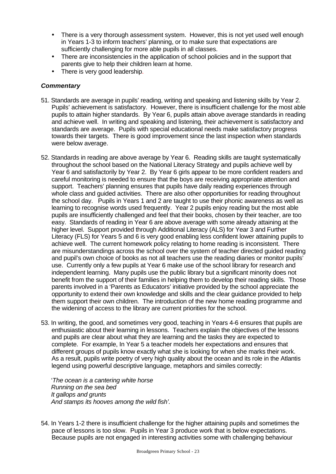- There is a very thorough assessment system. However, this is not yet used well enough in Years 1-3 to inform teachers' planning, or to make sure that expectations are sufficiently challenging for more able pupils in all classes.
- There are inconsistencies in the application of school policies and in the support that parents give to help their children learn at home.
- There is very good leadership.

### *Commentary*

- 51. Standards are average in pupils' reading, writing and speaking and listening skills by Year 2. Pupils' achievement is satisfactory. However, there is insufficient challenge for the most able pupils to attain higher standards. By Year 6, pupils attain above average standards in reading and achieve well. In writing and speaking and listening, their achievement is satisfactory and standards are average. Pupils with special educational needs make satisfactory progress towards their targets. There is good improvement since the last inspection when standards were below average.
- 52. Standards in reading are above average by Year 6. Reading skills are taught systematically throughout the school based on the National Literacy Strategy and pupils achieve well by Year 6 and satisfactorily by Year 2. By Year 6 girls appear to be more confident readers and careful monitoring is needed to ensure that the boys are receiving appropriate attention and support. Teachers' planning ensures that pupils have daily reading experiences through whole class and guided activities. There are also other opportunities for reading throughout the school day. Pupils in Years 1 and 2 are taught to use their phonic awareness as well as learning to recognise words used frequently. Year 2 pupils enjoy reading but the most able pupils are insufficiently challenged and feel that their books, chosen by their teacher, are too easy. Standards of reading in Year 6 are above average with some already attaining at the higher level. Support provided through Additional Literacy (ALS) for Year 3 and Further Literacy (FLS) for Years 5 and 6 is very good enabling less confident lower attaining pupils to achieve well. The current homework policy relating to home reading is inconsistent. There are misunderstandings across the school over the system of teacher directed guided reading and pupil's own choice of books as not all teachers use the reading diaries or monitor pupils' use. Currently only a few pupils at Year 6 make use of the school library for research and independent learning. Many pupils use the public library but a significant minority does not benefit from the support of their families in helping them to develop their reading skills. Those parents involved in a 'Parents as Educators' initiative provided by the school appreciate the opportunity to extend their own knowledge and skills and the clear guidance provided to help them support their own children. The introduction of the new home reading programme and the widening of access to the library are current priorities for the school.
- 53. In writing, the good, and sometimes very good, teaching in Years 4-6 ensures that pupils are enthusiastic about their learning in lessons. Teachers explain the objectives of the lessons and pupils are clear about what they are learning and the tasks they are expected to complete. For example, In Year 5 a teacher models her expectations and ensures that different groups of pupils know exactly what she is looking for when she marks their work. As a result, pupils write poetry of very high quality about the ocean and its role in the Atlantis legend using powerful descriptive language, metaphors and similes correctly:

'*The ocean is a cantering white horse Running on the sea bed It gallops and grunts And stamps its hooves among the wild fish'.*

54. In Years 1-2 there is insufficient challenge for the higher attaining pupils and sometimes the pace of lessons is too slow. Pupils in Year 3 produce work that is below expectations. Because pupils are not engaged in interesting activities some with challenging behaviour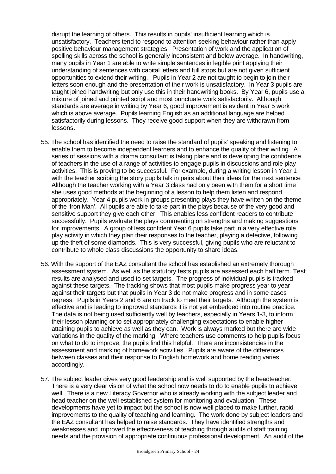disrupt the learning of others. This results in pupils' insufficient learning which is unsatisfactory. Teachers tend to respond to attention seeking behaviour rather than apply positive behaviour management strategies. Presentation of work and the application of spelling skills across the school is generally inconsistent and below average. In handwriting, many pupils in Year 1 are able to write simple sentences in legible print applying their understanding of sentences with capital letters and full stops but are not given sufficient opportunities to extend their writing. Pupils in Year 2 are not taught to begin to join their letters soon enough and the presentation of their work is unsatisfactory. In Year 3 pupils are taught joined handwriting but only use this in their handwriting books. By Year 6, pupils use a mixture of joined and printed script and most punctuate work satisfactorily. Although standards are average in writing by Year 6, good improvement is evident in Year 5 work which is above average. Pupils learning English as an additional language are helped satisfactorily during lessons. They receive good support when they are withdrawn from lessons.

- 55. The school has identified the need to raise the standard of pupils' speaking and listening to enable them to become independent learners and to enhance the quality of their writing. A series of sessions with a drama consultant is taking place and is developing the confidence of teachers in the use of a range of activities to engage pupils in discussions and role play activities. This is proving to be successful. For example, during a writing lesson in Year 1 with the teacher scribing the story pupils talk in pairs about their ideas for the next sentence. Although the teacher working with a Year 3 class had only been with them for a short time she uses good methods at the beginning of a lesson to help them listen and respond appropriately. Year 4 pupils work in groups presenting plays they have written on the theme of the 'Iron Man'. All pupils are able to take part in the plays because of the very good and sensitive support they give each other. This enables less confident readers to contribute successfully. Pupils evaluate the plays commenting on strengths and making suggestions for improvements. A group of less confident Year 6 pupils take part in a very effective role play activity in which they plan their responses to the teacher, playing a detective, following up the theft of some diamonds. This is very successful, giving pupils who are reluctant to contribute to whole class discussions the opportunity to share ideas.
- 56. With the support of the EAZ consultant the school has established an extremely thorough assessment system. As well as the statutory tests pupils are assessed each half term. Test results are analysed and used to set targets. The progress of individual pupils is tracked against these targets. The tracking shows that most pupils make progress year to year against their targets but that pupils in Year 3 do not make progress and in some cases regress. Pupils in Years 2 and 6 are on track to meet their targets. Although the system is effective and is leading to improved standards it is not yet embedded into routine practice. The data is not being used sufficiently well by teachers, especially in Years 1-3, to inform their lesson planning or to set appropriately challenging expectations to enable higher attaining pupils to achieve as well as they can. Work is always marked but there are wide variations in the quality of the marking. Where teachers use comments to help pupils focus on what to do to improve, the pupils find this helpful. There are inconsistencies in the assessment and marking of homework activities. Pupils are aware of the differences between classes and their response to English homework and home reading varies accordingly.
- 57. The subject leader gives very good leadership and is well supported by the headteacher. There is a very clear vision of what the school now needs to do to enable pupils to achieve well. There is a new Literacy Governor who is already working with the subject leader and head teacher on the well established system for monitoring and evaluation. These developments have yet to impact but the school is now well placed to make further, rapid improvements to the quality of teaching and learning. The work done by subject leaders and the EAZ consultant has helped to raise standards. They have identified strengths and weaknesses and improved the effectiveness of teaching through audits of staff training needs and the provision of appropriate continuous professional development. An audit of the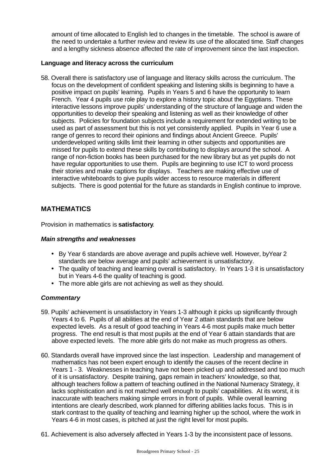amount of time allocated to English led to changes in the timetable. The school is aware of the need to undertake a further review and review its use of the allocated time. Staff changes and a lengthy sickness absence affected the rate of improvement since the last inspection.

### **Language and literacy across the curriculum**

58. Overall there is satisfactory use of language and literacy skills across the curriculum. The focus on the development of confident speaking and listening skills is beginning to have a positive impact on pupils' learning. Pupils in Years 5 and 6 have the opportunity to learn French. Year 4 pupils use role play to explore a history topic about the Egyptians. These interactive lessons improve pupils' understanding of the structure of language and widen the opportunities to develop their speaking and listening as well as their knowledge of other subjects. Policies for foundation subjects include a requirement for extended writing to be used as part of assessment but this is not yet consistently applied. Pupils in Year 6 use a range of genres to record their opinions and findings about Ancient Greece. Pupils' underdeveloped writing skills limit their learning in other subjects and opportunities are missed for pupils to extend these skills by contributing to displays around the school. A range of non-fiction books has been purchased for the new library but as yet pupils do not have regular opportunities to use them. Pupils are beginning to use ICT to word process their stories and make captions for displays. Teachers are making effective use of interactive whiteboards to give pupils wider access to resource materials in different subjects. There is good potential for the future as standards in English continue to improve.

## **MATHEMATICS**

Provision in mathematics is **satisfactory**.

### *Main strengths and weaknesses*

- By Year 6 standards are above average and pupils achieve well. However, byYear 2 standards are below average and pupils' achievement is unsatisfactory.
- The quality of teaching and learning overall is satisfactory. In Years 1-3 it is unsatisfactory but in Years 4-6 the quality of teaching is good.
- The more able girls are not achieving as well as they should.

- 59. Pupils' achievement is unsatisfactory in Years 1-3 although it picks up significantly through Years 4 to 6. Pupils of all abilities at the end of Year 2 attain standards that are below expected levels. As a result of good teaching in Years 4-6 most pupils make much better progress. The end result is that most pupils at the end of Year 6 attain standards that are above expected levels. The more able girls do not make as much progress as others.
- 60. Standards overall have improved since the last inspection. Leadership and management of mathematics has not been expert enough to identify the causes of the recent decline in Years 1 - 3. Weaknesses in teaching have not been picked up and addressed and too much of it is unsatisfactory. Despite training, gaps remain in teachers' knowledge, so that, although teachers follow a pattern of teaching outlined in the National Numeracy Strategy, it lacks sophistication and is not matched well enough to pupils' capabilities. At its worst, it is inaccurate with teachers making simple errors in front of pupils. While overall learning intentions are clearly described, work planned for differing abilities lacks focus. This is in stark contrast to the quality of teaching and learning higher up the school, where the work in Years 4-6 in most cases, is pitched at just the right level for most pupils.
- 61. Achievement is also adversely affected in Years 1-3 by the inconsistent pace of lessons.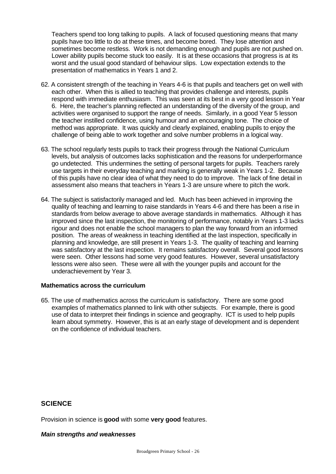Teachers spend too long talking to pupils. A lack of focused questioning means that many pupils have too little to do at these times, and become bored. They lose attention and sometimes become restless. Work is not demanding enough and pupils are not pushed on. Lower ability pupils become stuck too easily. It is at these occasions that progress is at its worst and the usual good standard of behaviour slips. Low expectation extends to the presentation of mathematics in Years 1 and 2.

- 62. A consistent strength of the teaching in Years 4-6 is that pupils and teachers get on well with each other. When this is allied to teaching that provides challenge and interests, pupils respond with immediate enthusiasm. This was seen at its best in a very good lesson in Year 6. Here, the teacher's planning reflected an understanding of the diversity of the group, and activities were organised to support the range of needs. Similarly, in a good Year 5 lesson the teacher instilled confidence, using humour and an encouraging tone. The choice of method was appropriate. It was quickly and clearly explained, enabling pupils to enjoy the challenge of being able to work together and solve number problems in a logical way.
- 63. The school regularly tests pupils to track their progress through the National Curriculum levels, but analysis of outcomes lacks sophistication and the reasons for underperformance go undetected. This undermines the setting of personal targets for pupils. Teachers rarely use targets in their everyday teaching and marking is generally weak in Years 1-2. Because of this pupils have no clear idea of what they need to do to improve. The lack of fine detail in assessment also means that teachers in Years 1-3 are unsure where to pitch the work.
- 64. The subject is satisfactorily managed and led. Much has been achieved in improving the quality of teaching and learning to raise standards in Years 4-6 and there has been a rise in standards from below average to above average standards in mathematics. Although it has improved since the last inspection, the monitoring of performance, notably in Years 1-3 lacks rigour and does not enable the school managers to plan the way forward from an informed position. The areas of weakness in teaching identified at the last inspection, specifically in planning and knowledge, are still present in Years 1-3. The quality of teaching and learning was satisfactory at the last inspection. It remains satisfactory overall. Several good lessons were seen. Other lessons had some very good features. However, several unsatisfactory lessons were also seen. These were all with the younger pupils and account for the underachievement by Year 3.

#### **Mathematics across the curriculum**

65. The use of mathematics across the curriculum is satisfactory. There are some good examples of mathematics planned to link with other subjects. For example, there is good use of data to interpret their findings in science and geography. ICT is used to help pupils learn about symmetry. However, this is at an early stage of development and is dependent on the confidence of individual teachers.

# **SCIENCE**

Provision in science is **good** with some **very good** features.

#### *Main strengths and weaknesses*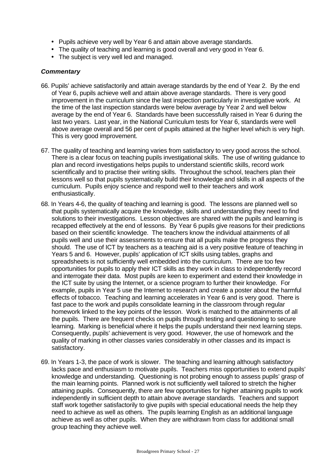- Pupils achieve very well by Year 6 and attain above average standards.
- The quality of teaching and learning is good overall and very good in Year 6.
- The subject is very well led and managed.

- 66. Pupils' achieve satisfactorily and attain average standards by the end of Year 2. By the end of Year 6, pupils achieve well and attain above average standards. There is very good improvement in the curriculum since the last inspection particularly in investigative work. At the time of the last inspection standards were below average by Year 2 and well below average by the end of Year 6. Standards have been successfully raised in Year 6 during the last two years. Last year, in the National Curriculum tests for Year 6, standards were well above average overall and 56 per cent of pupils attained at the higher level which is very high. This is very good improvement.
- 67. The quality of teaching and learning varies from satisfactory to very good across the school. There is a clear focus on teaching pupils investigational skills. The use of writing guidance to plan and record investigations helps pupils to understand scientific skills, record work scientifically and to practise their writing skills. Throughout the school, teachers plan their lessons well so that pupils systematically build their knowledge and skills in all aspects of the curriculum. Pupils enjoy science and respond well to their teachers and work enthusiastically.
- 68. In Years 4-6, the quality of teaching and learning is good. The lessons are planned well so that pupils systematically acquire the knowledge, skills and understanding they need to find solutions to their investigations. Lesson objectives are shared with the pupils and learning is recapped effectively at the end of lessons. By Year 6 pupils give reasons for their predictions based on their scientific knowledge. The teachers know the individual attainments of all pupils well and use their assessments to ensure that all pupils make the progress they should. The use of ICT by teachers as a teaching aid is a very positive feature of teaching in Years 5 and 6. However, pupils' application of ICT skills using tables, graphs and spreadsheets is not sufficiently well embedded into the curriculum. There are too few opportunities for pupils to apply their ICT skills as they work in class to independently record and interrogate their data. Most pupils are keen to experiment and extend their knowledge in the ICT suite by using the Internet, or a science program to further their knowledge. For example, pupils in Year 5 use the Internet to research and create a poster about the harmful effects of tobacco. Teaching and learning accelerates in Year 6 and is very good. There is fast pace to the work and pupils consolidate learning in the classroom through regular homework linked to the key points of the lesson. Work is matched to the attainments of all the pupils. There are frequent checks on pupils through testing and questioning to secure learning. Marking is beneficial where it helps the pupils understand their next learning steps. Consequently, pupils' achievement is very good. However, the use of homework and the quality of marking in other classes varies considerably in other classes and its impact is satisfactory.
- 69. In Years 1-3, the pace of work is slower. The teaching and learning although satisfactory lacks pace and enthusiasm to motivate pupils. Teachers miss opportunities to extend pupils' knowledge and understanding. Questioning is not probing enough to assess pupils' grasp of the main learning points. Planned work is not sufficiently well tailored to stretch the higher attaining pupils. Consequently, there are few opportunities for higher attaining pupils to work independently in sufficient depth to attain above average standards. Teachers and support staff work together satisfactorily to give pupils with special educational needs the help they need to achieve as well as others. The pupils learning English as an additional language achieve as well as other pupils. When they are withdrawn from class for additional small group teaching they achieve well.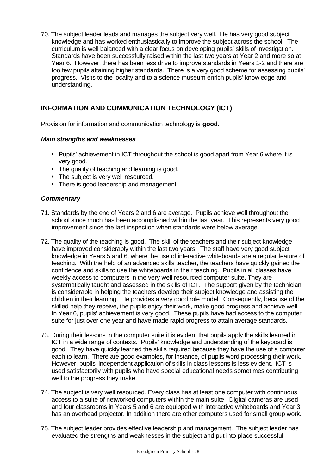70. The subject leader leads and manages the subject very well. He has very good subject knowledge and has worked enthusiastically to improve the subject across the school. The curriculum is well balanced with a clear focus on developing pupils' skills of investigation. Standards have been successfully raised within the last two years at Year 2 and more so at Year 6. However, there has been less drive to improve standards in Years 1-2 and there are too few pupils attaining higher standards. There is a very good scheme for assessing pupils' progress. Visits to the locality and to a science museum enrich pupils' knowledge and understanding.

# **INFORMATION AND COMMUNICATION TECHNOLOGY (ICT)**

Provision for information and communication technology is **good.**

### *Main strengths and weaknesses*

- Pupils' achievement in ICT throughout the school is good apart from Year 6 where it is very good.
- The quality of teaching and learning is good.
- The subject is very well resourced.
- There is good leadership and management.

- 71. Standards by the end of Years 2 and 6 are average. Pupils achieve well throughout the school since much has been accomplished within the last year. This represents very good improvement since the last inspection when standards were below average.
- 72. The quality of the teaching is good. The skill of the teachers and their subject knowledge have improved considerably within the last two years. The staff have very good subject knowledge in Years 5 and 6, where the use of interactive whiteboards are a regular feature of teaching. With the help of an advanced skills teacher, the teachers have quickly gained the confidence and skills to use the whiteboards in their teaching. Pupils in all classes have weekly access to computers in the very well resourced computer suite. They are systematically taught and assessed in the skills of ICT. The support given by the technician is considerable in helping the teachers develop their subject knowledge and assisting the children in their learning. He provides a very good role model. Consequently, because of the skilled help they receive, the pupils enjoy their work, make good progress and achieve well. In Year 6, pupils' achievement is very good. These pupils have had access to the computer suite for just over one year and have made rapid progress to attain average standards.
- 73. During their lessons in the computer suite it is evident that pupils apply the skills learned in ICT in a wide range of contexts. Pupils' knowledge and understanding of the keyboard is good. They have quickly learned the skills required because they have the use of a computer each to learn. There are good examples, for instance, of pupils word processing their work. However, pupils' independent application of skills in class lessons is less evident. ICT is used satisfactorily with pupils who have special educational needs sometimes contributing well to the progress they make.
- 74. The subject is very well resourced. Every class has at least one computer with continuous access to a suite of networked computers within the main suite. Digital cameras are used and four classrooms in Years 5 and 6 are equipped with interactive whiteboards and Year 3 has an overhead projector. In addition there are other computers used for small group work.
- 75. The subject leader provides effective leadership and management. The subject leader has evaluated the strengths and weaknesses in the subject and put into place successful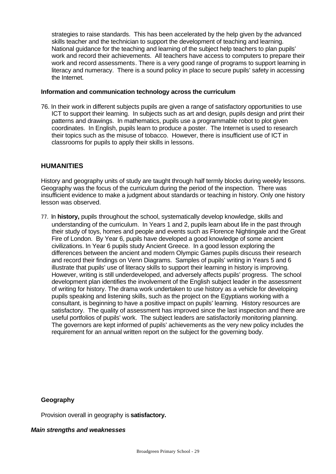strategies to raise standards. This has been accelerated by the help given by the advanced skills teacher and the technician to support the development of teaching and learning. National guidance for the teaching and learning of the subject help teachers to plan pupils' work and record their achievements. All teachers have access to computers to prepare their work and record assessments. There is a very good range of programs to support learning in literacy and numeracy. There is a sound policy in place to secure pupils' safety in accessing the Internet.

#### **Information and communication technology across the curriculum**

76. In their work in different subjects pupils are given a range of satisfactory opportunities to use ICT to support their learning. In subjects such as art and design, pupils design and print their patterns and drawings. In mathematics, pupils use a programmable robot to plot given coordinates. In English, pupils learn to produce a poster. The Internet is used to research their topics such as the misuse of tobacco. However, there is insufficient use of ICT in classrooms for pupils to apply their skills in lessons.

## **HUMANITIES**

History and geography units of study are taught through half termly blocks during weekly lessons. Geography was the focus of the curriculum during the period of the inspection. There was insufficient evidence to make a judgment about standards or teaching in history. Only one history lesson was observed.

77. In **history,** pupils throughout the school, systematically develop knowledge, skills and understanding of the curriculum. In Years 1 and 2, pupils learn about life in the past through their study of toys, homes and people and events such as Florence Nightingale and the Great Fire of London. By Year 6, pupils have developed a good knowledge of some ancient civilizations. In Year 6 pupils study Ancient Greece. In a good lesson exploring the differences between the ancient and modern Olympic Games pupils discuss their research and record their findings on Venn Diagrams. Samples of pupils' writing in Years 5 and 6 illustrate that pupils' use of literacy skills to support their learning in history is improving. However, writing is still underdeveloped, and adversely affects pupils' progress. The school development plan identifies the involvement of the English subject leader in the assessment of writing for history. The drama work undertaken to use history as a vehicle for developing pupils speaking and listening skills, such as the project on the Egyptians working with a consultant, is beginning to have a positive impact on pupils' learning. History resources are satisfactory. The quality of assessment has improved since the last inspection and there are useful portfolios of pupils' work. The subject leaders are satisfactorily monitoring planning. The governors are kept informed of pupils' achievements as the very new policy includes the requirement for an annual written report on the subject for the governing body.

### **Geography**

Provision overall in geography is **satisfactory.**

#### *Main strengths and weaknesses*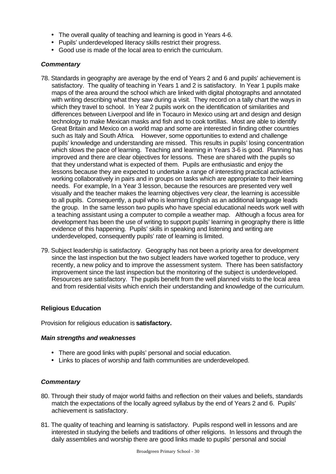- The overall quality of teaching and learning is good in Years 4-6.
- Pupils' underdeveloped literacy skills restrict their progress.
- Good use is made of the local area to enrich the curriculum.

### *Commentary*

- 78. Standards in geography are average by the end of Years 2 and 6 and pupils' achievement is satisfactory. The quality of teaching in Years 1 and 2 is satisfactory. In Year 1 pupils make maps of the area around the school which are linked with digital photographs and annotated with writing describing what they saw during a visit. They record on a tally chart the ways in which they travel to school. In Year 2 pupils work on the identification of similarities and differences between Liverpool and life in Tocauro in Mexico using art and design and design technology to make Mexican masks and fish and to cook tortillas. Most are able to identify Great Britain and Mexico on a world map and some are interested in finding other countries such as Italy and South Africa. However, some opportunities to extend and challenge pupils' knowledge and understanding are missed. This results in pupils' losing concentration which slows the pace of learning. Teaching and learning in Years 3-6 is good. Planning has improved and there are clear objectives for lessons. These are shared with the pupils so that they understand what is expected of them. Pupils are enthusiastic and enjoy the lessons because they are expected to undertake a range of interesting practical activities working collaboratively in pairs and in groups on tasks which are appropriate to their learning needs. For example, In a Year 3 lesson, because the resources are presented very well visually and the teacher makes the learning objectives very clear, the learning is accessible to all pupils. Consequently, a pupil who is learning English as an additional language leads the group. In the same lesson two pupils who have special educational needs work well with a teaching assistant using a computer to compile a weather map. Although a focus area for development has been the use of writing to support pupils' learning in geography there is little evidence of this happening. Pupils' skills in speaking and listening and writing are underdeveloped, consequently pupils' rate of learning is limited.
- 79. Subject leadership is satisfactory. Geography has not been a priority area for development since the last inspection but the two subject leaders have worked together to produce, very recently, a new policy and to improve the assessment system. There has been satisfactory improvement since the last inspection but the monitoring of the subject is underdeveloped. Resources are satisfactory. The pupils benefit from the well planned visits to the local area and from residential visits which enrich their understanding and knowledge of the curriculum.

### **Religious Education**

Provision for religious education is **satisfactory.**

### *Main strengths and weaknesses*

- There are good links with pupils' personal and social education.
- Links to places of worship and faith communities are underdeveloped.

- 80. Through their study of major world faiths and reflection on their values and beliefs, standards match the expectations of the locally agreed syllabus by the end of Years 2 and 6. Pupils' achievement is satisfactory.
- 81. The quality of teaching and learning is satisfactory. Pupils respond well in lessons and are interested in studying the beliefs and traditions of other religions. In lessons and through the daily assemblies and worship there are good links made to pupils' personal and social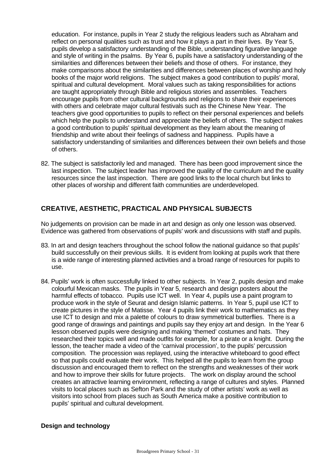education. For instance, pupils in Year 2 study the religious leaders such as Abraham and reflect on personal qualities such as trust and how it plays a part in their lives. By Year 5, pupils develop a satisfactory understanding of the Bible, understanding figurative language and style of writing in the psalms. By Year 6, pupils have a satisfactory understanding of the similarities and differences between their beliefs and those of others. For instance, they make comparisons about the similarities and differences between places of worship and holy books of the major world religions. The subject makes a good contribution to pupils' moral, spiritual and cultural development. Moral values such as taking responsibilities for actions are taught appropriately through Bible and religious stories and assemblies. Teachers encourage pupils from other cultural backgrounds and religions to share their experiences with others and celebrate major cultural festivals such as the Chinese New Year. The teachers give good opportunities to pupils to reflect on their personal experiences and beliefs which help the pupils to understand and appreciate the beliefs of others. The subject makes a good contribution to pupils' spiritual development as they learn about the meaning of friendship and write about their feelings of sadness and happiness. Pupils have a satisfactory understanding of similarities and differences between their own beliefs and those of others.

82. The subject is satisfactorily led and managed. There has been good improvement since the last inspection. The subject leader has improved the quality of the curriculum and the quality resources since the last inspection. There are good links to the local church but links to other places of worship and different faith communities are underdeveloped.

# **CREATIVE, AESTHETIC, PRACTICAL AND PHYSICAL SUBJECTS**

No judgements on provision can be made in art and design as only one lesson was observed. Evidence was gathered from observations of pupils' work and discussions with staff and pupils.

- 83. In art and design teachers throughout the school follow the national guidance so that pupils' build successfully on their previous skills. It is evident from looking at pupils work that there is a wide range of interesting planned activities and a broad range of resources for pupils to use.
- 84. Pupils' work is often successfully linked to other subjects. In Year 2, pupils design and make colourful Mexican masks. The pupils in Year 5, research and design posters about the harmful effects of tobacco. Pupils use ICT well. In Year 4, pupils use a paint program to produce work in the style of Seurat and design Islamic patterns. In Year 5, pupil use ICT to create pictures in the style of Matisse. Year 4 pupils link their work to mathematics as they use ICT to design and mix a palette of colours to draw symmetrical butterflies. There is a good range of drawings and paintings and pupils say they enjoy art and design. In the Year 6 lesson observed pupils were designing and making 'themed' costumes and hats. They researched their topics well and made outfits for example, for a pirate or a knight. During the lesson, the teacher made a video of the 'carnival procession', to the pupils' percussion composition. The procession was replayed, using the interactive whiteboard to good effect so that pupils could evaluate their work. This helped all the pupils to learn from the group discussion and encouraged them to reflect on the strengths and weaknesses of their work and how to improve their skills for future projects. The work on display around the school creates an attractive learning environment, reflecting a range of cultures and styles. Planned visits to local places such as Sefton Park and the study of other artists' work as well as visitors into school from places such as South America make a positive contribution to pupils' spiritual and cultural development.

### **Design and technology**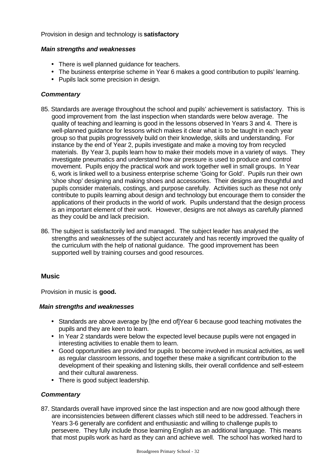### Provision in design and technology is **satisfactory**

### *Main strengths and weaknesses*

- There is well planned guidance for teachers.
- The business enterprise scheme in Year 6 makes a good contribution to pupils' learning.
- Pupils lack some precision in design.

## *Commentary*

- 85. Standards are average throughout the school and pupils' achievement is satisfactory. This is good improvement from the last inspection when standards were below average. The quality of teaching and learning is good in the lessons observed In Years 3 and 4. There is well-planned guidance for lessons which makes it clear what is to be taught in each year group so that pupils progressively build on their knowledge, skills and understanding. For instance by the end of Year 2, pupils investigate and make a moving toy from recycled materials. By Year 3, pupils learn how to make their models move in a variety of ways. They investigate pneumatics and understand how air pressure is used to produce and control movement. Pupils enjoy the practical work and work together well in small groups. In Year 6, work is linked well to a business enterprise scheme 'Going for Gold'. Pupils run their own 'shoe shop' designing and making shoes and accessories. Their designs are thoughtful and pupils consider materials, costings, and purpose carefully. Activities such as these not only contribute to pupils learning about design and technology but encourage them to consider the applications of their products in the world of work. Pupils understand that the design process is an important element of their work. However, designs are not always as carefully planned as they could be and lack precision.
- 86. The subject is satisfactorily led and managed. The subject leader has analysed the strengths and weaknesses of the subject accurately and has recently improved the quality of the curriculum with the help of national guidance. The good improvement has been supported well by training courses and good resources.

## **Music**

Provision in music is **good.**

### *Main strengths and weaknesses*

- Standards are above average by [the end of]Year 6 because good teaching motivates the pupils and they are keen to learn.
- In Year 2 standards were below the expected level because pupils were not engaged in interesting activities to enable them to learn.
- Good opportunities are provided for pupils to become involved in musical activities, as well as regular classroom lessons, and together these make a significant contribution to the development of their speaking and listening skills, their overall confidence and self-esteem and their cultural awareness.
- There is good subject leadership.

## *Commentary*

87. Standards overall have improved since the last inspection and are now good although there are inconsistencies between different classes which still need to be addressed. Teachers in Years 3-6 generally are confident and enthusiastic and willing to challenge pupils to persevere. They fully include those learning English as an additional language. This means that most pupils work as hard as they can and achieve well. The school has worked hard to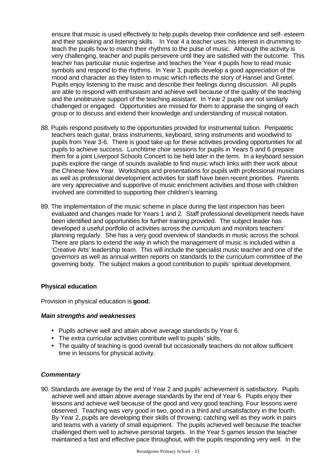ensure that music is used effectively to help pupils develop their confidence and self- esteem and their speaking and listening skills. In Year 4 a teacher uses his interest in drumming to teach the pupils how to match their rhythms to the pulse of music. Although the activity is very challenging, teacher and pupils persevere until they are satisfied with the outcome. This teacher has particular music expertise and teaches the Year 4 pupils how to read music symbols and respond to the rhythms. In Year 3, pupils develop a good appreciation of the mood and character as they listen to music which reflects the story of Hansel and Gretel. Pupils enjoy listening to the music and describe their feelings during discussion. All pupils are able to respond with enthusiasm and achieve well because of the quality of the teaching and the unobtrusive support of the teaching assistant. In Year 2 pupils are not similarly challenged or engaged. Opportunities are missed for them to appraise the singing of each group or to discuss and extend their knowledge and understanding of musical notation.

- 88. Pupils respond positively to the opportunities provided for instrumental tuition. Peripatetic teachers teach guitar, brass instruments, keyboard, string instruments and woodwind to pupils from Year 3-6. There is good take up for these activities providing opportunities for all pupils to achieve success. Lunchtime choir sessions for pupils in Years 5 and 6 prepare them for a joint Liverpool Schools Concert to be held later in the term. In a keyboard session pupils explore the range of sounds available to find music which links with their work about the Chinese New Year. Workshops and presentations for pupils with professional musicians as well as professional development activities for staff have been recent priorities. Parents are very appreciative and supportive of music enrichment activities and those with children involved are committed to supporting their children's learning.
- 89. The implementation of the music scheme in place during the last inspection has been evaluated and changes made for Years 1 and 2. Staff professional development needs have been identified and opportunities for further training provided. The subject leader has developed a useful portfolio of activities across the curriculum and monitors teachers' planning regularly. She has a very good overview of standards in music across the school. There are plans to extend the way in which the management of music is included within a 'Creative Arts' leadership team. This will include the specialist music teacher and one of the governors as well as annual written reports on standards to the curriculum committee of the governing body. The subject makes a good contribution to pupils' spiritual development.

### **Physical education**

Provision in physical education is **good.**

### *Main strengths and weaknesses*

- Pupils achieve well and attain above average standards by Year 6.
- The extra curricular activities contribute well to pupils' skills.
- The quality of teaching is good overall but occasionally teachers do not allow sufficient time in lessons for physical activity.

### *Commentary*

90. Standards are average by the end of Year 2 and pupils' achievement is satisfactory. Pupils achieve well and attain above average standards by the end of Year 6. Pupils enjoy their lessons and achieve well because of the good and very good teaching. Four lessons were observed. Teaching was very good in two, good in a third and unsatisfactory in the fourth. By Year 2, pupils are developing their skills of throwing; catching well as they work in pairs and teams with a variety of small equipment. The pupils achieved well because the teacher challenged them well to achieve personal targets. In the Year 5 games lesson the teacher maintained a fast and effective pace throughout, with the pupils responding very well. In the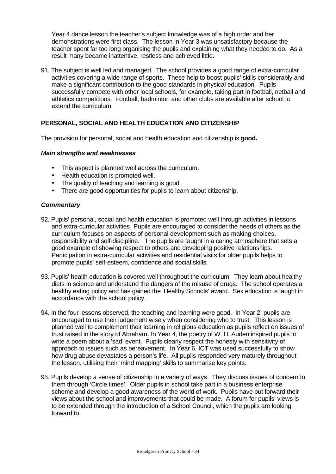Year 4 dance lesson the teacher's subject knowledge was of a high order and her demonstrations were first class. The lesson in Year 3 was unsatisfactory because the teacher spent far too long organising the pupils and explaining what they needed to do. As a result many became inattentive, restless and achieved little.

91. The subject is well led and managed. The school provides a good range of extra-curricular activities covering a wide range of sports. These help to boost pupils' skills considerably and make a significant contribution to the good standards in physical education. Pupils successfully compete with other local schools, for example, taking part in football, netball and athletics competitions. Football, badminton and other clubs are available after school to extend the curriculum.

### **PERSONAL, SOCIAL AND HEALTH EDUCATION AND CITIZENSHIP**

The provision for personal, social and health education and citizenship is **good.**

### *Main strengths and weaknesses*

- This aspect is planned well across the curriculum.
- Health education is promoted well.
- The quality of teaching and learning is good.
- There are good opportunities for pupils to learn about citizenship.

- 92. Pupils' personal, social and health education is promoted well through activities in lessons and extra-curricular activities. Pupils are encouraged to consider the needs of others as the curriculum focuses on aspects of personal development such as making choices, responsibility and self-discipline. The pupils are taught in a caring atmosphere that sets a good example of showing respect to others and developing positive relationships. Participation in extra-curricular activities and residential visits for older pupils helps to promote pupils' self-esteem, confidence and social skills.
- 93. Pupils' health education is covered well throughout the curriculum. They learn about healthy diets in science and understand the dangers of the misuse of drugs. The school operates a healthy eating policy and has gained the 'Healthy Schools' award. Sex education is taught in accordance with the school policy.
- 94. In the four lessons observed, the teaching and learning were good. In Year 2, pupils are encouraged to use their judgement wisely when considering who to trust. This lesson is planned well to complement their learning in religious education as pupils reflect on issues of trust raised in the story of Abraham. In Year 4, the poetry of W. H. Auden inspired pupils to write a poem about a 'sad' event. Pupils clearly respect the honesty with sensitivity of approach to issues such as bereavement. In Year 6, ICT was used successfully to show how drug abuse devastates a person's life. All pupils responded very maturely throughout the lesson, utilising their 'mind mapping' skills to summarise key points.
- 95. Pupils develop a sense of citizenship in a variety of ways. They discuss issues of concern to them through 'Circle times'. Older pupils in school take part in a business enterprise scheme and develop a good awareness of the world of work. Pupils have put forward their views about the school and improvements that could be made. A forum for pupils' views is to be extended through the introduction of a School Council, which the pupils are looking forward to.